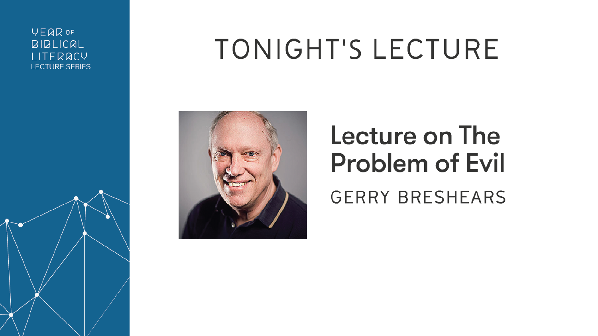#### **VEQR OF BIBLICAL** LITERACY **LECTURE SERIES**

## TONIGHT'S LECTURE





#### Lecture on The **Problem of Evil GERRY BRESHEARS**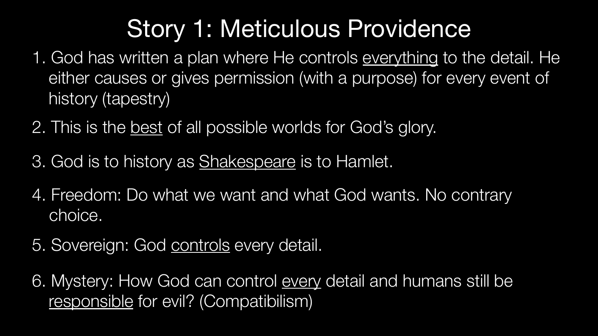- 1. God has written a plan where He controls everything to the detail. He either causes or gives permission (with a purpose) for every event of history (tapestry)
- 2. This is the best of all possible worlds for God's glory.
- 3. God is to history as Shakespeare is to Hamlet.
- 4. Freedom: Do what we want and what God wants. No contrary choice.
- 5. Sovereign: God controls every detail.
- 6. Mystery: How God can control every detail and humans still be responsible for evil? (Compatibilism)

#### Story 1: Meticulous Providence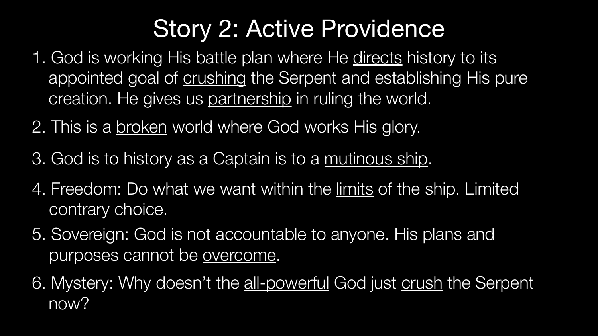- 1. God is working His battle plan where He directs history to its appointed goal of crushing the Serpent and establishing His pure creation. He gives us partnership in ruling the world.
- 2. This is a broken world where God works His glory.
- 3. God is to history as a Captain is to a mutinous ship.
- 4. Freedom: Do what we want within the limits of the ship. Limited contrary choice.
- 5. Sovereign: God is not accountable to anyone. His plans and purposes cannot be overcome.
- 6. Mystery: Why doesn't the all-powerful God just crush the Serpent now?

#### Story 2: Active Providence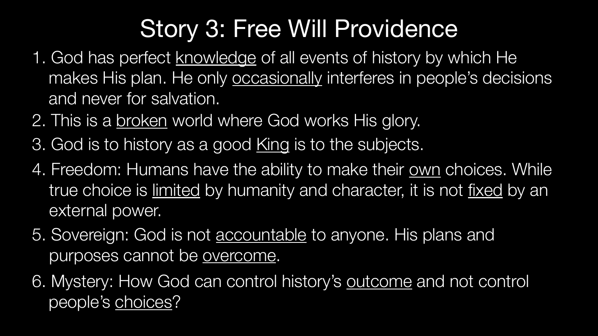- 1. God has perfect knowledge of all events of history by which He makes His plan. He only **occasionally** interferes in people's decisions and never for salvation.
- 2. This is a broken world where God works His glory.
- 3. God is to history as a good King is to the subjects.
- 4. Freedom: Humans have the ability to make their own choices. While true choice is limited by humanity and character, it is not fixed by an external power.
- 5. Sovereign: God is not accountable to anyone. His plans and purposes cannot be overcome.
- 6. Mystery: How God can control history's outcome and not control people's choices?

#### Story 3: Free Will Providence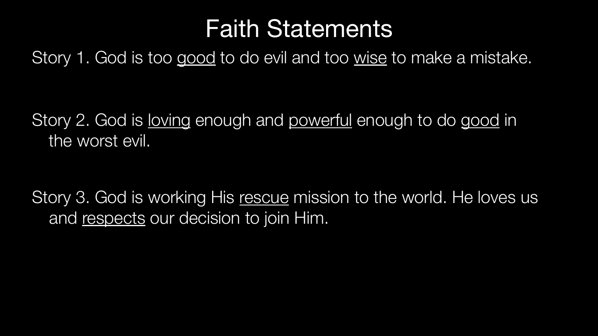Story 2. God is loving enough and powerful enough to do good in the worst evil.

Story 3. God is working His rescue mission to the world. He loves us and respects our decision to join Him.

#### Story 1. God is too good to do evil and too wise to make a mistake. Faith Statements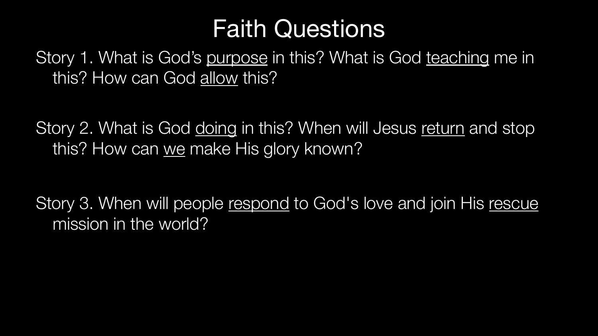this? How can God allow this?

Story 2. What is God doing in this? When will Jesus return and stop this? How can we make His glory known?

Story 3. When will people respond to God's love and join His rescue mission in the world?

#### Story 1. What is God's purpose in this? What is God teaching me in Faith Questions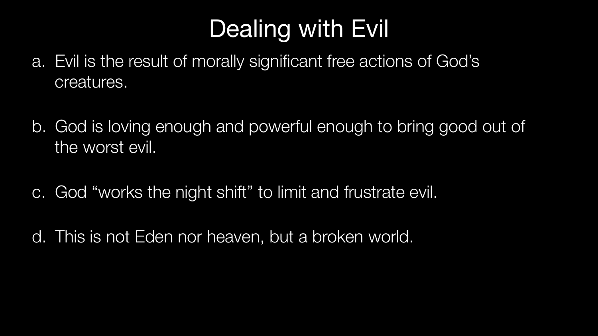# Dealing with Evil

- a. Evil is the result of morally significant free actions of God's creatures.
- b. God is loving enough and powerful enough to bring good out of the worst evil.
- c. God "works the night shift" to limit and frustrate evil.
- d. This is not Eden nor heaven, but a broken world.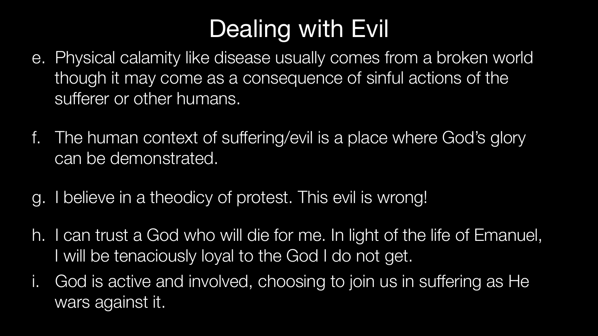### Dealing with Evil

- e. Physical calamity like disease usually comes from a broken world though it may come as a consequence of sinful actions of the sufferer or other humans.
- f. The human context of suffering/evil is a place where God's glory can be demonstrated.
- g. I believe in a theodicy of protest. This evil is wrong!
- h. I can trust a God who will die for me. In light of the life of Emanuel, I will be tenaciously loyal to the God I do not get.
- i. God is active and involved, choosing to join us in suffering as He wars against it.